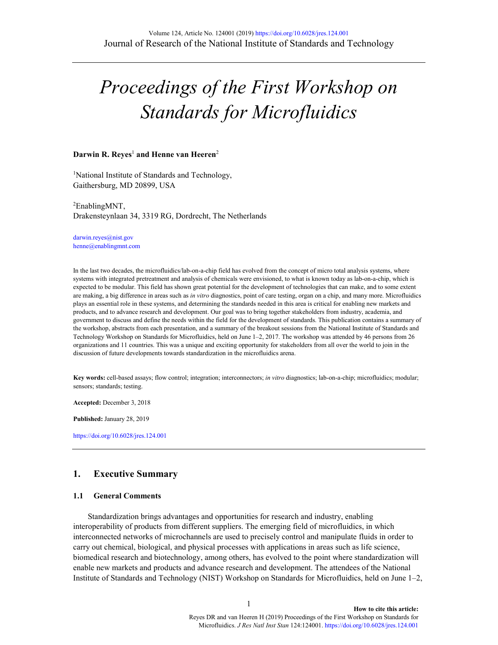# *Proceedings of the First Workshop on Standards for Microfluidics*

#### **Darwin R. Reyes**<sup>1</sup> **and Henne van Heeren**<sup>2</sup>

<sup>1</sup>National Institute of Standards and Technology, Gaithersburg, MD 20899, USA

2 EnablingMNT, Drakensteynlaan 34, 3319 RG, Dordrecht, The Netherlands

darwin.reyes@nist.gov henne@enablingmnt.com

In the last two decades, the microfluidics/lab-on-a-chip field has evolved from the concept of micro total analysis systems, where systems with integrated pretreatment and analysis of chemicals were envisioned, to what is known today as lab-on-a-chip, which is expected to be modular. This field has shown great potential for the development of technologies that can make, and to some extent are making, a big difference in areas such as *in vitro* diagnostics, point of care testing, organ on a chip, and many more. Microfluidics plays an essential role in these systems, and determining the standards needed in this area is critical for enabling new markets and products, and to advance research and development. Our goal was to bring together stakeholders from industry, academia, and government to discuss and define the needs within the field for the development of standards. This publication contains a summary of the workshop, abstracts from each presentation, and a summary of the breakout sessions from the National Institute of Standards and Technology Workshop on Standards for Microfluidics, held on June 1–2, 2017. The workshop was attended by 46 persons from 26 organizations and 11 countries. This was a unique and exciting opportunity for stakeholders from all over the world to join in the discussion of future developments towards standardization in the microfluidics arena.

**Key words:** cell-based assays; flow control; integration; interconnectors; *in vitro* diagnostics; lab-on-a-chip; microfluidics; modular; sensors; standards; testing.

**Accepted:** December 3, 2018

**Published:** January 28, 2019

<https://doi.org/10.6028/jres.124.001>

## **1. Executive Summary**

#### **1.1 General Comments**

Standardization brings advantages and opportunities for research and industry, enabling interoperability of products from different suppliers. The emerging field of microfluidics, in which interconnected networks of microchannels are used to precisely control and manipulate fluids in order to carry out chemical, biological, and physical processes with applications in areas such as life science, biomedical research and biotechnology, among others, has evolved to the point where standardization will enable new markets and products and advance research and development. The attendees of the National Institute of Standards and Technology (NIST) Workshop on Standards for Microfluidics, held on June 1–2,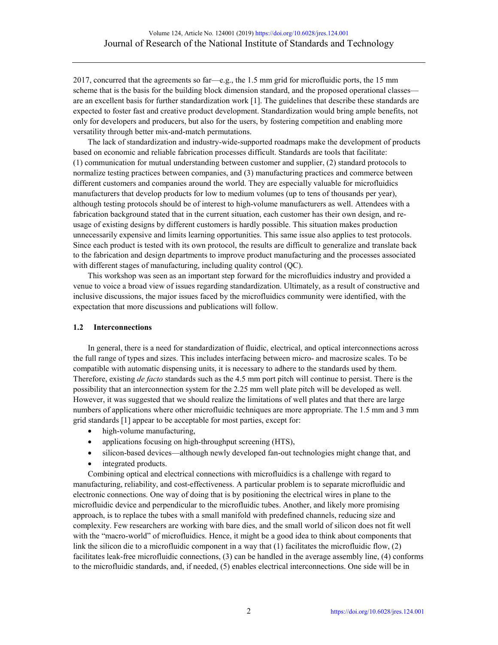2017, concurred that the agreements so far—e.g., the 1.5 mm grid for microfluidic ports, the 15 mm scheme that is the basis for the building block dimension standard, and the proposed operational classes are an excellent basis for further standardization work [1]. The guidelines that describe these standards are expected to foster fast and creative product development. Standardization would bring ample benefits, not only for developers and producers, but also for the users, by fostering competition and enabling more versatility through better mix-and-match permutations.

The lack of standardization and industry-wide-supported roadmaps make the development of products based on economic and reliable fabrication processes difficult. Standards are tools that facilitate: (1) communication for mutual understanding between customer and supplier, (2) standard protocols to normalize testing practices between companies, and (3) manufacturing practices and commerce between different customers and companies around the world. They are especially valuable for microfluidics manufacturers that develop products for low to medium volumes (up to tens of thousands per year), although testing protocols should be of interest to high-volume manufacturers as well. Attendees with a fabrication background stated that in the current situation, each customer has their own design, and reusage of existing designs by different customers is hardly possible. This situation makes production unnecessarily expensive and limits learning opportunities. This same issue also applies to test protocols. Since each product is tested with its own protocol, the results are difficult to generalize and translate back to the fabrication and design departments to improve product manufacturing and the processes associated with different stages of manufacturing, including quality control (QC).

This workshop was seen as an important step forward for the microfluidics industry and provided a venue to voice a broad view of issues regarding standardization. Ultimately, as a result of constructive and inclusive discussions, the major issues faced by the microfluidics community were identified, with the expectation that more discussions and publications will follow.

## **1.2 Interconnections**

In general, there is a need for standardization of fluidic, electrical, and optical interconnections across the full range of types and sizes. This includes interfacing between micro- and macrosize scales. To be compatible with automatic dispensing units, it is necessary to adhere to the standards used by them. Therefore, existing *de facto* standards such as the 4.5 mm port pitch will continue to persist. There is the possibility that an interconnection system for the 2.25 mm well plate pitch will be developed as well. However, it was suggested that we should realize the limitations of well plates and that there are large numbers of applications where other microfluidic techniques are more appropriate. The 1.5 mm and 3 mm grid standards [1] appear to be acceptable for most parties, except for:

- high-volume manufacturing,
- applications focusing on high-throughput screening (HTS),
- silicon-based devices—although newly developed fan-out technologies might change that, and
- integrated products.

Combining optical and electrical connections with microfluidics is a challenge with regard to manufacturing, reliability, and cost-effectiveness. A particular problem is to separate microfluidic and electronic connections. One way of doing that is by positioning the electrical wires in plane to the microfluidic device and perpendicular to the microfluidic tubes. Another, and likely more promising approach, is to replace the tubes with a small manifold with predefined channels, reducing size and complexity. Few researchers are working with bare dies, and the small world of silicon does not fit well with the "macro-world" of microfluidics. Hence, it might be a good idea to think about components that link the silicon die to a microfluidic component in a way that (1) facilitates the microfluidic flow, (2) facilitates leak-free microfluidic connections, (3) can be handled in the average assembly line, (4) conforms to the microfluidic standards, and, if needed, (5) enables electrical interconnections. One side will be in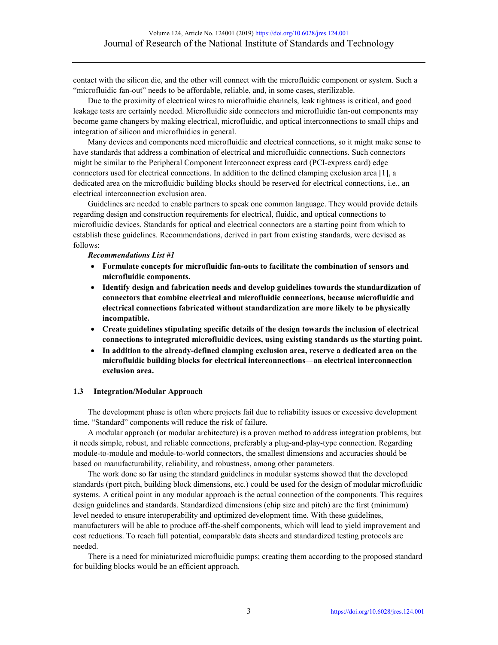contact with the silicon die, and the other will connect with the microfluidic component or system. Such a "microfluidic fan-out" needs to be affordable, reliable, and, in some cases, sterilizable.

Due to the proximity of electrical wires to microfluidic channels, leak tightness is critical, and good leakage tests are certainly needed. Microfluidic side connectors and microfluidic fan-out components may become game changers by making electrical, microfluidic, and optical interconnections to small chips and integration of silicon and microfluidics in general.

Many devices and components need microfluidic and electrical connections, so it might make sense to have standards that address a combination of electrical and microfluidic connections. Such connectors might be similar to the Peripheral Component Interconnect express card (PCI-express card) edge connectors used for electrical connections. In addition to the defined clamping exclusion area [1], a dedicated area on the microfluidic building blocks should be reserved for electrical connections, i.e., an electrical interconnection exclusion area.

Guidelines are needed to enable partners to speak one common language. They would provide details regarding design and construction requirements for electrical, fluidic, and optical connections to microfluidic devices. Standards for optical and electrical connectors are a starting point from which to establish these guidelines. Recommendations, derived in part from existing standards, were devised as follows:

*Recommendations List #1*

- **Formulate concepts for microfluidic fan-outs to facilitate the combination of sensors and microfluidic components.**
- **Identify design and fabrication needs and develop guidelines towards the standardization of connectors that combine electrical and microfluidic connections, because microfluidic and electrical connections fabricated without standardization are more likely to be physically incompatible.**
- **Create guidelines stipulating specific details of the design towards the inclusion of electrical connections to integrated microfluidic devices, using existing standards as the starting point.**
- **In addition to the already-defined clamping exclusion area, reserve a dedicated area on the microfluidic building blocks for electrical interconnections—an electrical interconnection exclusion area.**

#### **1.3 Integration/Modular Approach**

The development phase is often where projects fail due to reliability issues or excessive development time. "Standard" components will reduce the risk of failure.

A modular approach (or modular architecture) is a proven method to address integration problems, but it needs simple, robust, and reliable connections, preferably a plug-and-play-type connection. Regarding module-to-module and module-to-world connectors, the smallest dimensions and accuracies should be based on manufacturability, reliability, and robustness, among other parameters.

The work done so far using the standard guidelines in modular systems showed that the developed standards (port pitch, building block dimensions, etc.) could be used for the design of modular microfluidic systems. A critical point in any modular approach is the actual connection of the components. This requires design guidelines and standards. Standardized dimensions (chip size and pitch) are the first (minimum) level needed to ensure interoperability and optimized development time. With these guidelines, manufacturers will be able to produce off-the-shelf components, which will lead to yield improvement and cost reductions. To reach full potential, comparable data sheets and standardized testing protocols are needed.

There is a need for miniaturized microfluidic pumps; creating them according to the proposed standard for building blocks would be an efficient approach.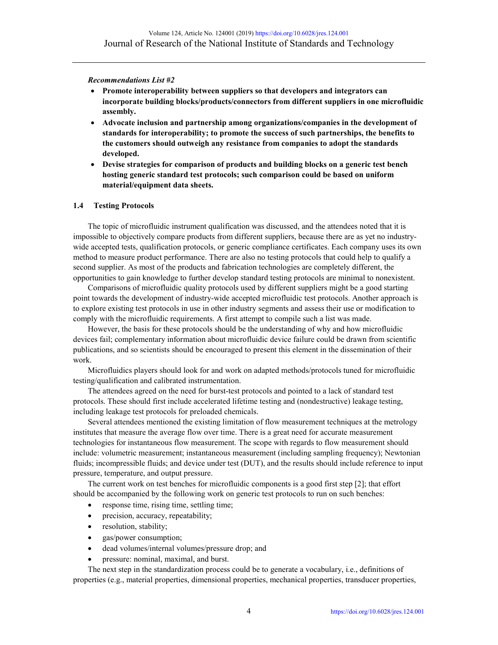*Recommendations List #2*

- **Promote interoperability between suppliers so that developers and integrators can incorporate building blocks/products/connectors from different suppliers in one microfluidic assembly.**
- **Advocate inclusion and partnership among organizations/companies in the development of standards for interoperability; to promote the success of such partnerships, the benefits to the customers should outweigh any resistance from companies to adopt the standards developed.**
- **Devise strategies for comparison of products and building blocks on a generic test bench hosting generic standard test protocols; such comparison could be based on uniform material/equipment data sheets.**

## **1.4 Testing Protocols**

The topic of microfluidic instrument qualification was discussed, and the attendees noted that it is impossible to objectively compare products from different suppliers, because there are as yet no industrywide accepted tests, qualification protocols, or generic compliance certificates. Each company uses its own method to measure product performance. There are also no testing protocols that could help to qualify a second supplier. As most of the products and fabrication technologies are completely different, the opportunities to gain knowledge to further develop standard testing protocols are minimal to nonexistent.

Comparisons of microfluidic quality protocols used by different suppliers might be a good starting point towards the development of industry-wide accepted microfluidic test protocols. Another approach is to explore existing test protocols in use in other industry segments and assess their use or modification to comply with the microfluidic requirements. A first attempt to compile such a list was made.

However, the basis for these protocols should be the understanding of why and how microfluidic devices fail; complementary information about microfluidic device failure could be drawn from scientific publications, and so scientists should be encouraged to present this element in the dissemination of their work.

Microfluidics players should look for and work on adapted methods/protocols tuned for microfluidic testing/qualification and calibrated instrumentation.

The attendees agreed on the need for burst-test protocols and pointed to a lack of standard test protocols. These should first include accelerated lifetime testing and (nondestructive) leakage testing, including leakage test protocols for preloaded chemicals.

Several attendees mentioned the existing limitation of flow measurement techniques at the metrology institutes that measure the average flow over time. There is a great need for accurate measurement technologies for instantaneous flow measurement. The scope with regards to flow measurement should include: volumetric measurement; instantaneous measurement (including sampling frequency); Newtonian fluids; incompressible fluids; and device under test (DUT), and the results should include reference to input pressure, temperature, and output pressure.

The current work on test benches for microfluidic components is a good first step [2]; that effort should be accompanied by the following work on generic test protocols to run on such benches:

- response time, rising time, settling time;
- precision, accuracy, repeatability;
- resolution, stability;
- gas/power consumption;
- dead volumes/internal volumes/pressure drop; and
- pressure: nominal, maximal, and burst.

The next step in the standardization process could be to generate a vocabulary, i.e., definitions of properties (e.g., material properties, dimensional properties, mechanical properties, transducer properties,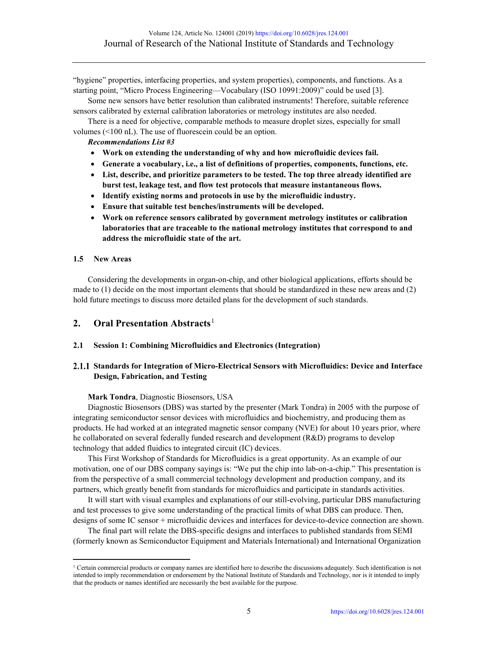"hygiene" properties, interfacing properties, and system properties), components, and functions. As a starting point, "Micro Process Engineering—Vocabulary (ISO 10991:2009)" could be used [3].

Some new sensors have better resolution than calibrated instruments! Therefore, suitable reference sensors calibrated by external calibration laboratories or metrology institutes are also needed.

There is a need for objective, comparable methods to measure droplet sizes, especially for small volumes (<100 nL). The use of fluorescein could be an option.

#### *Recommendations List #3*

- **Work on extending the understanding of why and how microfluidic devices fail.**
- **Generate a vocabulary, i.e., a list of definitions of properties, components, functions, etc.**
- **List, describe, and prioritize parameters to be tested. The top three already identified are burst test, leakage test, and flow test protocols that measure instantaneous flows.**
- **Identify existing norms and protocols in use by the microfluidic industry.**
- **Ensure that suitable test benches/instruments will be developed.**
- **Work on reference sensors calibrated by government metrology institutes or calibration laboratories that are traceable to the national metrology institutes that correspond to and address the microfluidic state of the art.**

#### **1.5 New Areas**

l

Considering the developments in organ-on-chip, and other biological applications, efforts should be made to (1) decide on the most important elements that should be standardized in these new areas and (2) hold future meetings to discuss more detailed plans for the development of such standards.

# **2. Oral Presentation Abstracts**<sup>[1](#page-4-0)</sup>

## **2.1 Session 1: Combining Microfluidics and Electronics (Integration)**

## **Standards for Integration of Micro-Electrical Sensors with Microfluidics: Device and Interface Design, Fabrication, and Testing**

#### **Mark Tondra**, Diagnostic Biosensors, USA

Diagnostic Biosensors (DBS) was started by the presenter (Mark Tondra) in 2005 with the purpose of integrating semiconductor sensor devices with microfluidics and biochemistry, and producing them as products. He had worked at an integrated magnetic sensor company (NVE) for about 10 years prior, where he collaborated on several federally funded research and development (R&D) programs to develop technology that added fluidics to integrated circuit (IC) devices.

This First Workshop of Standards for Microfluidics is a great opportunity. As an example of our motivation, one of our DBS company sayings is: "We put the chip into lab-on-a-chip." This presentation is from the perspective of a small commercial technology development and production company, and its partners, which greatly benefit from standards for microfluidics and participate in standards activities.

It will start with visual examples and explanations of our still-evolving, particular DBS manufacturing and test processes to give some understanding of the practical limits of what DBS can produce. Then, designs of some IC sensor + microfluidic devices and interfaces for device-to-device connection are shown.

The final part will relate the DBS-specific designs and interfaces to published standards from SEMI (formerly known as Semiconductor Equipment and Materials International) and International Organization

<span id="page-4-0"></span><sup>&</sup>lt;sup>1</sup> Certain commercial products or company names are identified here to describe the discussions adequately. Such identification is not intended to imply recommendation or endorsement by the National Institute of Standards and Technology, nor is it intended to imply that the products or names identified are necessarily the best available for the purpose.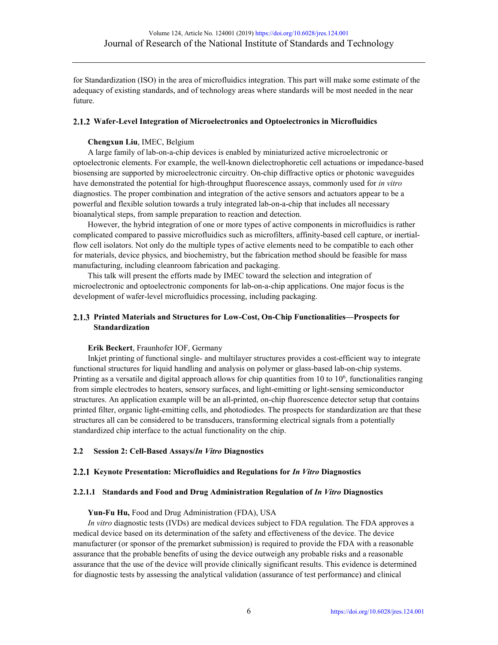for Standardization (ISO) in the area of microfluidics integration. This part will make some estimate of the adequacy of existing standards, and of technology areas where standards will be most needed in the near future.

## **Wafer-Level Integration of Microelectronics and Optoelectronics in Microfluidics**

## **Chengxun Liu**, IMEC, Belgium

A large family of lab-on-a-chip devices is enabled by miniaturized active microelectronic or optoelectronic elements. For example, the well-known dielectrophoretic cell actuations or impedance-based biosensing are supported by microelectronic circuitry. On-chip diffractive optics or photonic waveguides have demonstrated the potential for high-throughput fluorescence assays, commonly used for *in vitro* diagnostics. The proper combination and integration of the active sensors and actuators appear to be a powerful and flexible solution towards a truly integrated lab-on-a-chip that includes all necessary bioanalytical steps, from sample preparation to reaction and detection.

However, the hybrid integration of one or more types of active components in microfluidics is rather complicated compared to passive microfluidics such as microfilters, affinity-based cell capture, or inertialflow cell isolators. Not only do the multiple types of active elements need to be compatible to each other for materials, device physics, and biochemistry, but the fabrication method should be feasible for mass manufacturing, including cleanroom fabrication and packaging.

This talk will present the efforts made by IMEC toward the selection and integration of microelectronic and optoelectronic components for lab-on-a-chip applications. One major focus is the development of wafer-level microfluidics processing, including packaging.

## **Printed Materials and Structures for Low-Cost, On-Chip Functionalities—Prospects for Standardization**

#### **Erik Beckert**, Fraunhofer IOF, Germany

Inkjet printing of functional single- and multilayer structures provides a cost-efficient way to integrate functional structures for liquid handling and analysis on polymer or glass-based lab-on-chip systems. Printing as a versatile and digital approach allows for chip quantities from 10 to  $10^6$ , functionalities ranging from simple electrodes to heaters, sensory surfaces, and light-emitting or light-sensing semiconductor structures. An application example will be an all-printed, on-chip fluorescence detector setup that contains printed filter, organic light-emitting cells, and photodiodes. The prospects for standardization are that these structures all can be considered to be transducers, transforming electrical signals from a potentially standardized chip interface to the actual functionality on the chip.

#### **2.2 Session 2: Cell-Based Assays/***In Vitro* **Diagnostics**

#### **Keynote Presentation: Microfluidics and Regulations for** *In Vitro* **Diagnostics**

#### **2.2.1.1 Standards and Food and Drug Administration Regulation of** *In Vitro* **Diagnostics**

#### **Yun-Fu Hu,** Food and Drug Administration (FDA), USA

*In vitro* diagnostic tests (IVDs) are medical devices subject to FDA regulation. The FDA approves a medical device based on its determination of the safety and effectiveness of the device. The device manufacturer (or sponsor of the premarket submission) is required to provide the FDA with a reasonable assurance that the probable benefits of using the device outweigh any probable risks and a reasonable assurance that the use of the device will provide clinically significant results. This evidence is determined for diagnostic tests by assessing the analytical validation (assurance of test performance) and clinical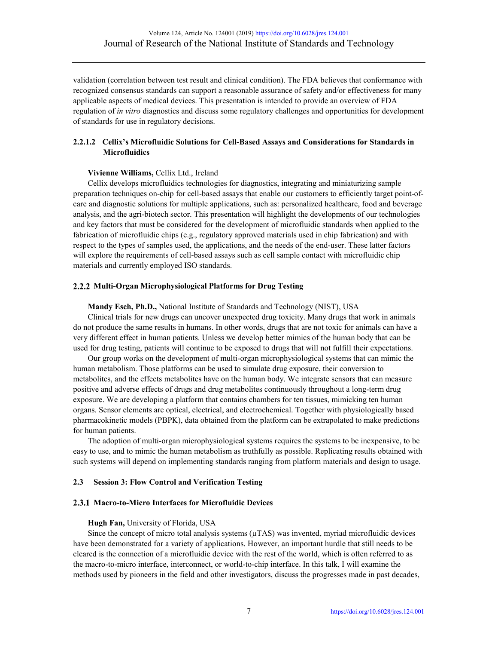validation (correlation between test result and clinical condition). The FDA believes that conformance with recognized consensus standards can support a reasonable assurance of safety and/or effectiveness for many applicable aspects of medical devices. This presentation is intended to provide an overview of FDA regulation of *in vitro* diagnostics and discuss some regulatory challenges and opportunities for development of standards for use in regulatory decisions.

## **2.2.1.2 Cellix's Microfluidic Solutions for Cell-Based Assays and Considerations for Standards in Microfluidics**

## **Vivienne Williams,** Cellix Ltd., Ireland

Cellix develops microfluidics technologies for diagnostics, integrating and miniaturizing sample preparation techniques on-chip for cell-based assays that enable our customers to efficiently target point-ofcare and diagnostic solutions for multiple applications, such as: personalized healthcare, food and beverage analysis, and the agri-biotech sector. This presentation will highlight the developments of our technologies and key factors that must be considered for the development of microfluidic standards when applied to the fabrication of microfluidic chips (e.g., regulatory approved materials used in chip fabrication) and with respect to the types of samples used, the applications, and the needs of the end-user. These latter factors will explore the requirements of cell-based assays such as cell sample contact with microfluidic chip materials and currently employed ISO standards.

## **Multi-Organ Microphysiological Platforms for Drug Testing**

#### **Mandy Esch, Ph.D.,** National Institute of Standards and Technology (NIST), USA

Clinical trials for new drugs can uncover unexpected drug toxicity. Many drugs that work in animals do not produce the same results in humans. In other words, drugs that are not toxic for animals can have a very different effect in human patients. Unless we develop better mimics of the human body that can be used for drug testing, patients will continue to be exposed to drugs that will not fulfill their expectations.

Our group works on the development of multi-organ microphysiological systems that can mimic the human metabolism. Those platforms can be used to simulate drug exposure, their conversion to metabolites, and the effects metabolites have on the human body. We integrate sensors that can measure positive and adverse effects of drugs and drug metabolites continuously throughout a long-term drug exposure. We are developing a platform that contains chambers for ten tissues, mimicking ten human organs. Sensor elements are optical, electrical, and electrochemical. Together with physiologically based pharmacokinetic models (PBPK), data obtained from the platform can be extrapolated to make predictions for human patients.

The adoption of multi-organ microphysiological systems requires the systems to be inexpensive, to be easy to use, and to mimic the human metabolism as truthfully as possible. Replicating results obtained with such systems will depend on implementing standards ranging from platform materials and design to usage.

#### **2.3 Session 3: Flow Control and Verification Testing**

#### **Macro-to-Micro Interfaces for Microfluidic Devices**

#### **Hugh Fan,** University of Florida, USA

Since the concept of micro total analysis systems  $(\mu$ TAS) was invented, myriad microfluidic devices have been demonstrated for a variety of applications. However, an important hurdle that still needs to be cleared is the connection of a microfluidic device with the rest of the world, which is often referred to as the macro-to-micro interface, interconnect, or world-to-chip interface. In this talk, I will examine the methods used by pioneers in the field and other investigators, discuss the progresses made in past decades,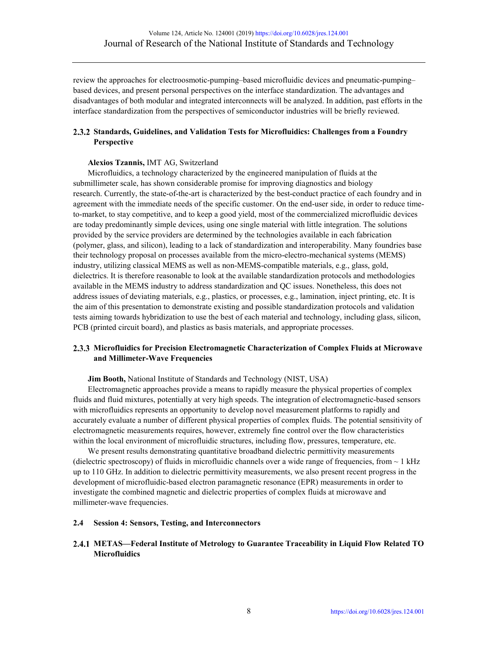review the approaches for electroosmotic-pumping–based microfluidic devices and pneumatic-pumping– based devices, and present personal perspectives on the interface standardization. The advantages and disadvantages of both modular and integrated interconnects will be analyzed. In addition, past efforts in the interface standardization from the perspectives of semiconductor industries will be briefly reviewed.

## **Standards, Guidelines, and Validation Tests for Microfluidics: Challenges from a Foundry Perspective**

## **Alexios Tzannis,** IMT AG, Switzerland

Microfluidics, a technology characterized by the engineered manipulation of fluids at the submillimeter scale, has shown considerable promise for improving diagnostics and biology research. Currently, the state-of-the-art is characterized by the best-conduct practice of each foundry and in agreement with the immediate needs of the specific customer. On the end-user side, in order to reduce timeto-market, to stay competitive, and to keep a good yield, most of the commercialized microfluidic devices are today predominantly simple devices, using one single material with little integration. The solutions provided by the service providers are determined by the technologies available in each fabrication (polymer, glass, and silicon), leading to a lack of standardization and interoperability. Many foundries base their technology proposal on processes available from the micro-electro-mechanical systems (MEMS) industry, utilizing classical MEMS as well as non-MEMS-compatible materials, e.g., glass, gold, dielectrics. It is therefore reasonable to look at the available standardization protocols and methodologies available in the MEMS industry to address standardization and QC issues. Nonetheless, this does not address issues of deviating materials, e.g., plastics, or processes, e.g., lamination, inject printing, etc. It is the aim of this presentation to demonstrate existing and possible standardization protocols and validation tests aiming towards hybridization to use the best of each material and technology, including glass, silicon, PCB (printed circuit board), and plastics as basis materials, and appropriate processes.

## **Microfluidics for Precision Electromagnetic Characterization of Complex Fluids at Microwave and Millimeter-Wave Frequencies**

**Jim Booth,** National Institute of Standards and Technology (NIST, USA)

Electromagnetic approaches provide a means to rapidly measure the physical properties of complex fluids and fluid mixtures, potentially at very high speeds. The integration of electromagnetic-based sensors with microfluidics represents an opportunity to develop novel measurement platforms to rapidly and accurately evaluate a number of different physical properties of complex fluids. The potential sensitivity of electromagnetic measurements requires, however, extremely fine control over the flow characteristics within the local environment of microfluidic structures, including flow, pressures, temperature, etc.

We present results demonstrating quantitative broadband dielectric permittivity measurements (dielectric spectroscopy) of fluids in microfluidic channels over a wide range of frequencies, from  $\sim 1$  kHz up to 110 GHz. In addition to dielectric permittivity measurements, we also present recent progress in the development of microfluidic-based electron paramagnetic resonance (EPR) measurements in order to investigate the combined magnetic and dielectric properties of complex fluids at microwave and millimeter-wave frequencies.

## **2.4 Session 4: Sensors, Testing, and Interconnectors**

## **METAS—Federal Institute of Metrology to Guarantee Traceability in Liquid Flow Related TO Microfluidics**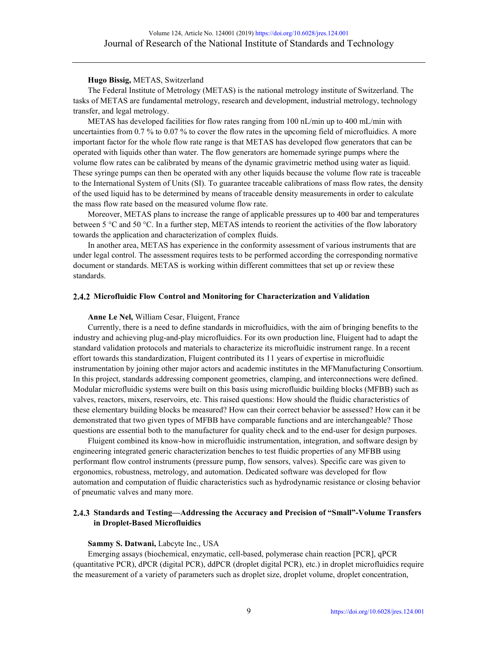#### **Hugo Bissig,** METAS, Switzerland

The Federal Institute of Metrology (METAS) is the national metrology institute of Switzerland. The tasks of METAS are fundamental metrology, research and development, industrial metrology, technology transfer, and legal metrology.

METAS has developed facilities for flow rates ranging from 100 nL/min up to 400 mL/min with uncertainties from 0.7 % to 0.07 % to cover the flow rates in the upcoming field of microfluidics. A more important factor for the whole flow rate range is that METAS has developed flow generators that can be operated with liquids other than water. The flow generators are homemade syringe pumps where the volume flow rates can be calibrated by means of the dynamic gravimetric method using water as liquid. These syringe pumps can then be operated with any other liquids because the volume flow rate is traceable to the International System of Units (SI). To guarantee traceable calibrations of mass flow rates, the density of the used liquid has to be determined by means of traceable density measurements in order to calculate the mass flow rate based on the measured volume flow rate.

Moreover, METAS plans to increase the range of applicable pressures up to 400 bar and temperatures between 5 °C and 50 °C. In a further step, METAS intends to reorient the activities of the flow laboratory towards the application and characterization of complex fluids.

In another area, METAS has experience in the conformity assessment of various instruments that are under legal control. The assessment requires tests to be performed according the corresponding normative document or standards. METAS is working within different committees that set up or review these standards.

#### **Microfluidic Flow Control and Monitoring for Characterization and Validation**

#### **Anne Le Nel,** William Cesar, Fluigent, France

Currently, there is a need to define standards in microfluidics, with the aim of bringing benefits to the industry and achieving plug-and-play microfluidics. For its own production line, Fluigent had to adapt the standard validation protocols and materials to characterize its microfluidic instrument range. In a recent effort towards this standardization, Fluigent contributed its 11 years of expertise in microfluidic instrumentation by joining other major actors and academic institutes in the MFManufacturing Consortium. In this project, standards addressing component geometries, clamping, and interconnections were defined. Modular microfluidic systems were built on this basis using microfluidic building blocks (MFBB) such as valves, reactors, mixers, reservoirs, etc. This raised questions: How should the fluidic characteristics of these elementary building blocks be measured? How can their correct behavior be assessed? How can it be demonstrated that two given types of MFBB have comparable functions and are interchangeable? Those questions are essential both to the manufacturer for quality check and to the end-user for design purposes.

Fluigent combined its know-how in microfluidic instrumentation, integration, and software design by engineering integrated generic characterization benches to test fluidic properties of any MFBB using performant flow control instruments (pressure pump, flow sensors, valves). Specific care was given to ergonomics, robustness, metrology, and automation. Dedicated software was developed for flow automation and computation of fluidic characteristics such as hydrodynamic resistance or closing behavior of pneumatic valves and many more.

## **Standards and Testing—Addressing the Accuracy and Precision of "Small"-Volume Transfers in Droplet-Based Microfluidics**

#### **Sammy S. Datwani,** Labcyte Inc., USA

Emerging assays (biochemical, enzymatic, cell-based, polymerase chain reaction [PCR], qPCR (quantitative PCR), dPCR (digital PCR), ddPCR (droplet digital PCR), etc.) in droplet microfluidics require the measurement of a variety of parameters such as droplet size, droplet volume, droplet concentration,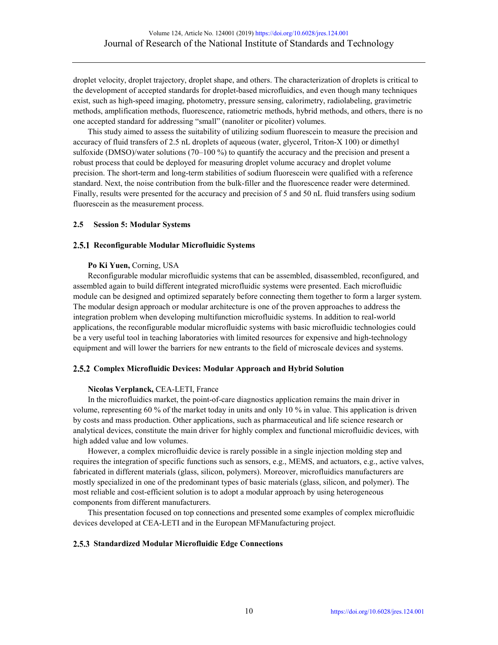droplet velocity, droplet trajectory, droplet shape, and others. The characterization of droplets is critical to the development of accepted standards for droplet-based microfluidics, and even though many techniques exist, such as high-speed imaging, photometry, pressure sensing, calorimetry, radiolabeling, gravimetric methods, amplification methods, fluorescence, ratiometric methods, hybrid methods, and others, there is no one accepted standard for addressing "small" (nanoliter or picoliter) volumes.

This study aimed to assess the suitability of utilizing sodium fluorescein to measure the precision and accuracy of fluid transfers of 2.5 nL droplets of aqueous (water, glycerol, Triton-X 100) or dimethyl sulfoxide (DMSO)/water solutions (70–100 %) to quantify the accuracy and the precision and present a robust process that could be deployed for measuring droplet volume accuracy and droplet volume precision. The short-term and long-term stabilities of sodium fluorescein were qualified with a reference standard. Next, the noise contribution from the bulk-filler and the fluorescence reader were determined. Finally, results were presented for the accuracy and precision of 5 and 50 nL fluid transfers using sodium fluorescein as the measurement process.

## **2.5 Session 5: Modular Systems**

#### **Reconfigurable Modular Microfluidic Systems**

## **Po Ki Yuen,** Corning, USA

Reconfigurable modular microfluidic systems that can be assembled, disassembled, reconfigured, and assembled again to build different integrated microfluidic systems were presented. Each microfluidic module can be designed and optimized separately before connecting them together to form a larger system. The modular design approach or modular architecture is one of the proven approaches to address the integration problem when developing multifunction microfluidic systems. In addition to real-world applications, the reconfigurable modular microfluidic systems with basic microfluidic technologies could be a very useful tool in teaching laboratories with limited resources for expensive and high-technology equipment and will lower the barriers for new entrants to the field of microscale devices and systems.

## **Complex Microfluidic Devices: Modular Approach and Hybrid Solution**

### **Nicolas Verplanck,** CEA-LETI, France

In the microfluidics market, the point-of-care diagnostics application remains the main driver in volume, representing 60 % of the market today in units and only 10 % in value. This application is driven by costs and mass production. Other applications, such as pharmaceutical and life science research or analytical devices, constitute the main driver for highly complex and functional microfluidic devices, with high added value and low volumes.

However, a complex microfluidic device is rarely possible in a single injection molding step and requires the integration of specific functions such as sensors, e.g., MEMS, and actuators, e.g., active valves, fabricated in different materials (glass, silicon, polymers). Moreover, microfluidics manufacturers are mostly specialized in one of the predominant types of basic materials (glass, silicon, and polymer). The most reliable and cost-efficient solution is to adopt a modular approach by using heterogeneous components from different manufacturers.

This presentation focused on top connections and presented some examples of complex microfluidic devices developed at CEA-LETI and in the European MFManufacturing project.

## **Standardized Modular Microfluidic Edge Connections**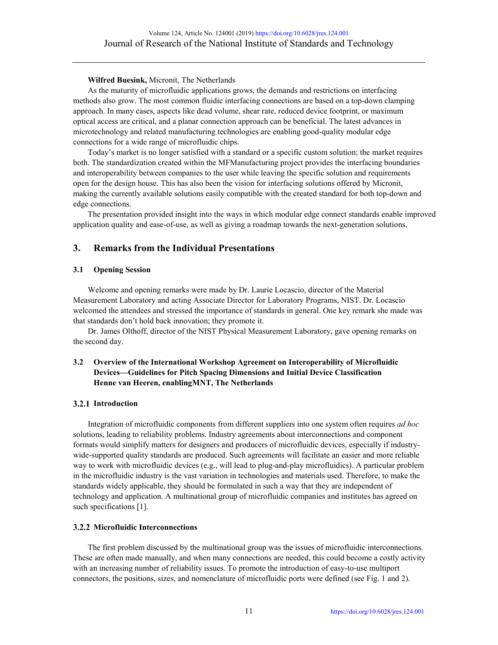## **Wilfred Buesink,** Micronit, The Netherlands

As the maturity of microfluidic applications grows, the demands and restrictions on interfacing methods also grow. The most common fluidic interfacing connections are based on a top-down clamping approach. In many cases, aspects like dead volume, shear rate, reduced device footprint, or maximum optical access are critical, and a planar connection approach can be beneficial. The latest advances in microtechnology and related manufacturing technologies are enabling good-quality modular edge connections for a wide range of microfluidic chips.

Today's market is no longer satisfied with a standard or a specific custom solution; the market requires both. The standardization created within the MFManufacturing project provides the interfacing boundaries and interoperability between companies to the user while leaving the specific solution and requirements open for the design house. This has also been the vision for interfacing solutions offered by Micronit, making the currently available solutions easily compatible with the created standard for both top-down and edge connections.

The presentation provided insight into the ways in which modular edge connect standards enable improved application quality and ease-of-use, as well as giving a roadmap towards the next-generation solutions.

# **3. Remarks from the Individual Presentations**

## **3.1 Opening Session**

Welcome and opening remarks were made by Dr. Laurie Locascio, director of the Material Measurement Laboratory and acting Associate Director for Laboratory Programs, NIST. Dr. Locascio welcomed the attendees and stressed the importance of standards in general. One key remark she made was that standards don't hold back innovation; they promote it.

Dr. James Olthoff, director of the NIST Physical Measurement Laboratory, gave opening remarks on the second day.

## **3.2 Overview of the International Workshop Agreement on Interoperability of Microfluidic Devices—Guidelines for Pitch Spacing Dimensions and Initial Device Classification Henne van Heeren, enablingMNT, The Netherlands**

#### **Introduction**

Integration of microfluidic components from different suppliers into one system often requires *ad hoc* solutions, leading to reliability problems. Industry agreements about interconnections and component formats would simplify matters for designers and producers of microfluidic devices, especially if industrywide-supported quality standards are produced. Such agreements will facilitate an easier and more reliable way to work with microfluidic devices (e.g., will lead to plug-and-play microfluidics). A particular problem in the microfluidic industry is the vast variation in technologies and materials used. Therefore, to make the standards widely applicable, they should be formulated in such a way that they are independent of technology and application. A multinational group of microfluidic companies and institutes has agreed on such specifications [1].

#### **3.2.2 Microfluidic Interconnections**

The first problem discussed by the multinational group was the issues of microfluidic interconnections. These are often made manually, and when many connections are needed, this could become a costly activity with an increasing number of reliability issues. To promote the introduction of easy-to-use multiport connectors, the positions, sizes, and nomenclature of microfluidic ports were defined (see Fig. 1 and 2).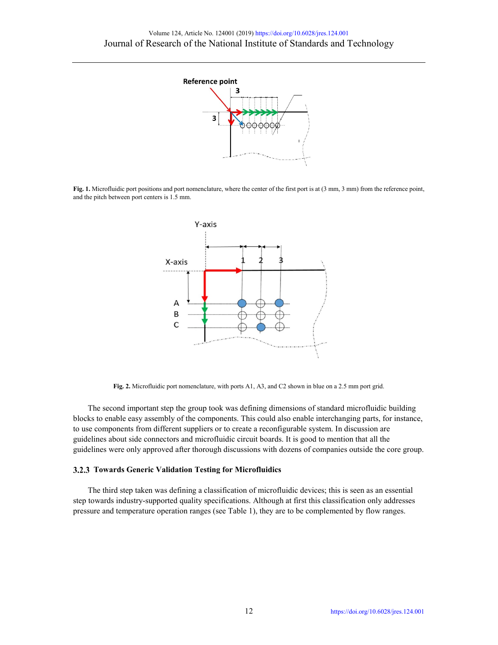

**Fig. 1.** Microfluidic port positions and port nomenclature, where the center of the first port is at (3 mm, 3 mm) from the reference point, and the pitch between port centers is 1.5 mm.



**Fig. 2.** Microfluidic port nomenclature, with ports A1, A3, and C2 shown in blue on a 2.5 mm port grid.

The second important step the group took was defining dimensions of standard microfluidic building blocks to enable easy assembly of the components. This could also enable interchanging parts, for instance, to use components from different suppliers or to create a reconfigurable system. In discussion are guidelines about side connectors and microfluidic circuit boards. It is good to mention that all the guidelines were only approved after thorough discussions with dozens of companies outside the core group.

### **Towards Generic Validation Testing for Microfluidics**

The third step taken was defining a classification of microfluidic devices; this is seen as an essential step towards industry-supported quality specifications. Although at first this classification only addresses pressure and temperature operation ranges (see Table 1), they are to be complemented by flow ranges.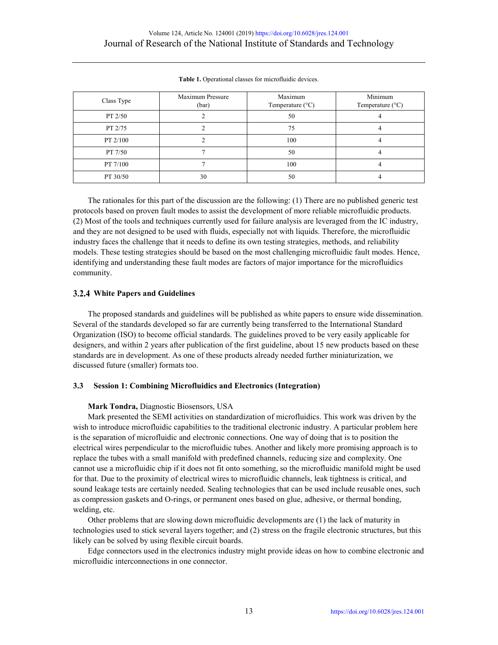| Class Type | Maximum Pressure<br>(bar) | Maximum<br>Temperature $(^{\circ}C)$ | Minimum<br>Temperature $(^{\circ}C)$ |
|------------|---------------------------|--------------------------------------|--------------------------------------|
| PT 2/50    |                           | 50                                   |                                      |
| PT 2/75    |                           | 75                                   |                                      |
| PT 2/100   |                           | 100                                  |                                      |
| PT 7/50    |                           | 50                                   |                                      |
| PT 7/100   |                           | 100                                  |                                      |
| PT 30/50   | 30                        | 50                                   |                                      |

**Table 1.** Operational classes for microfluidic devices.

The rationales for this part of the discussion are the following: (1) There are no published generic test protocols based on proven fault modes to assist the development of more reliable microfluidic products. (2) Most of the tools and techniques currently used for failure analysis are leveraged from the IC industry, and they are not designed to be used with fluids, especially not with liquids. Therefore, the microfluidic industry faces the challenge that it needs to define its own testing strategies, methods, and reliability models. These testing strategies should be based on the most challenging microfluidic fault modes. Hence, identifying and understanding these fault modes are factors of major importance for the microfluidics community.

## **White Papers and Guidelines**

The proposed standards and guidelines will be published as white papers to ensure wide dissemination. Several of the standards developed so far are currently being transferred to the International Standard Organization (ISO) to become official standards. The guidelines proved to be very easily applicable for designers, and within 2 years after publication of the first guideline, about 15 new products based on these standards are in development. As one of these products already needed further miniaturization, we discussed future (smaller) formats too.

## **3.3 Session 1: Combining Microfluidics and Electronics (Integration)**

## **Mark Tondra,** Diagnostic Biosensors, USA

Mark presented the SEMI activities on standardization of microfluidics. This work was driven by the wish to introduce microfluidic capabilities to the traditional electronic industry. A particular problem here is the separation of microfluidic and electronic connections. One way of doing that is to position the electrical wires perpendicular to the microfluidic tubes. Another and likely more promising approach is to replace the tubes with a small manifold with predefined channels, reducing size and complexity. One cannot use a microfluidic chip if it does not fit onto something, so the microfluidic manifold might be used for that. Due to the proximity of electrical wires to microfluidic channels, leak tightness is critical, and sound leakage tests are certainly needed. Sealing technologies that can be used include reusable ones, such as compression gaskets and O-rings, or permanent ones based on glue, adhesive, or thermal bonding, welding, etc.

Other problems that are slowing down microfluidic developments are (1) the lack of maturity in technologies used to stick several layers together; and (2) stress on the fragile electronic structures, but this likely can be solved by using flexible circuit boards.

Edge connectors used in the electronics industry might provide ideas on how to combine electronic and microfluidic interconnections in one connector.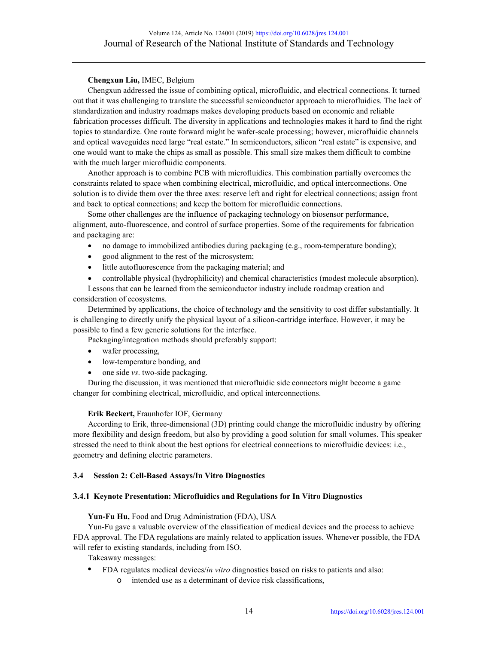## **Chengxun Liu,** IMEC, Belgium

Chengxun addressed the issue of combining optical, microfluidic, and electrical connections. It turned out that it was challenging to translate the successful semiconductor approach to microfluidics. The lack of standardization and industry roadmaps makes developing products based on economic and reliable fabrication processes difficult. The diversity in applications and technologies makes it hard to find the right topics to standardize. One route forward might be wafer-scale processing; however, microfluidic channels and optical waveguides need large "real estate." In semiconductors, silicon "real estate" is expensive, and one would want to make the chips as small as possible. This small size makes them difficult to combine with the much larger microfluidic components.

Another approach is to combine PCB with microfluidics. This combination partially overcomes the constraints related to space when combining electrical, microfluidic, and optical interconnections. One solution is to divide them over the three axes: reserve left and right for electrical connections; assign front and back to optical connections; and keep the bottom for microfluidic connections.

Some other challenges are the influence of packaging technology on biosensor performance, alignment, auto-fluorescence, and control of surface properties. Some of the requirements for fabrication and packaging are:

- no damage to immobilized antibodies during packaging (e.g., room-temperature bonding);
- good alignment to the rest of the microsystem;
- little autofluorescence from the packaging material; and
- controllable physical (hydrophilicity) and chemical characteristics (modest molecule absorption).

Lessons that can be learned from the semiconductor industry include roadmap creation and consideration of ecosystems.

Determined by applications, the choice of technology and the sensitivity to cost differ substantially. It is challenging to directly unify the physical layout of a silicon-cartridge interface. However, it may be possible to find a few generic solutions for the interface.

Packaging/integration methods should preferably support:

- wafer processing,
- low-temperature bonding, and
- one side *vs*. two-side packaging.

During the discussion, it was mentioned that microfluidic side connectors might become a game changer for combining electrical, microfluidic, and optical interconnections.

#### **Erik Beckert,** Fraunhofer IOF, Germany

According to Erik, three-dimensional (3D) printing could change the microfluidic industry by offering more flexibility and design freedom, but also by providing a good solution for small volumes. This speaker stressed the need to think about the best options for electrical connections to microfluidic devices: i.e., geometry and defining electric parameters.

## **3.4 Session 2: Cell-Based Assays/In Vitro Diagnostics**

#### **Keynote Presentation: Microfluidics and Regulations for In Vitro Diagnostics**

#### **Yun-Fu Hu,** Food and Drug Administration (FDA), USA

Yun-Fu gave a valuable overview of the classification of medical devices and the process to achieve FDA approval. The FDA regulations are mainly related to application issues. Whenever possible, the FDA will refer to existing standards, including from ISO.

Takeaway messages:

- **•** FDA regulates medical devices/*in vitro* diagnostics based on risks to patients and also:
	- o intended use as a determinant of device risk classifications,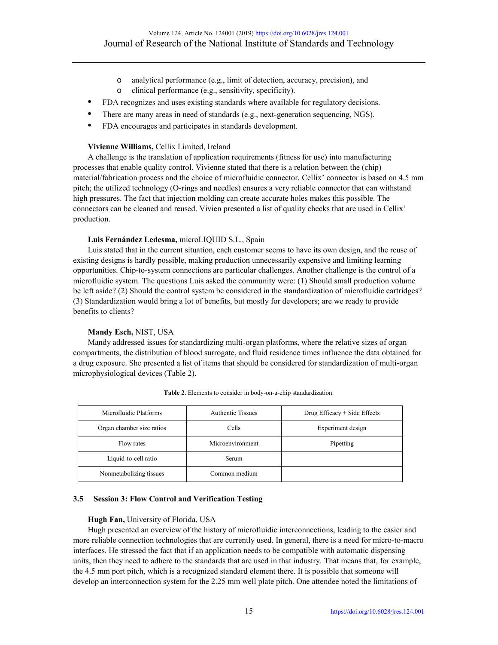- o analytical performance (e.g., limit of detection, accuracy, precision), and
- o clinical performance (e.g., sensitivity, specificity).
- **•** FDA recognizes and uses existing standards where available for regulatory decisions.
- There are many areas in need of standards (e.g., next-generation sequencing, NGS).
- **•** FDA encourages and participates in standards development.

## **Vivienne Williams,** Cellix Limited, Ireland

A challenge is the translation of application requirements (fitness for use) into manufacturing processes that enable quality control. Vivienne stated that there is a relation between the (chip) material/fabrication process and the choice of microfluidic connector. Cellix' connector is based on 4.5 mm pitch; the utilized technology (O-rings and needles) ensures a very reliable connector that can withstand high pressures. The fact that injection molding can create accurate holes makes this possible. The connectors can be cleaned and reused. Vivien presented a list of quality checks that are used in Cellix' production.

## **Luis Fernández Ledesma,** microLIQUID S.L., Spain

Luis stated that in the current situation, each customer seems to have its own design, and the reuse of existing designs is hardly possible, making production unnecessarily expensive and limiting learning opportunities. Chip-to-system connections are particular challenges. Another challenge is the control of a microfluidic system. The questions Luis asked the community were: (1) Should small production volume be left aside? (2) Should the control system be considered in the standardization of microfluidic cartridges? (3) Standardization would bring a lot of benefits, but mostly for developers; are we ready to provide benefits to clients?

## **Mandy Esch,** NIST, USA

Mandy addressed issues for standardizing multi-organ platforms, where the relative sizes of organ compartments, the distribution of blood surrogate, and fluid residence times influence the data obtained for a drug exposure. She presented a list of items that should be considered for standardization of multi-organ microphysiological devices (Table 2).

| Microfluidic Platforms    | <b>Authentic Tissues</b> | Drug Efficacy $+$ Side Effects |
|---------------------------|--------------------------|--------------------------------|
| Organ chamber size ratios | Cells                    | Experiment design              |
| Flow rates                | Microenvironment         | Pipetting                      |
| Liquid-to-cell ratio      | Serum                    |                                |
| Nonmetabolizing tissues   | Common medium            |                                |

**Table 2.** Elements to consider in body-on-a-chip standardization.

#### **3.5 Session 3: Flow Control and Verification Testing**

#### **Hugh Fan,** University of Florida, USA

Hugh presented an overview of the history of microfluidic interconnections, leading to the easier and more reliable connection technologies that are currently used. In general, there is a need for micro-to-macro interfaces. He stressed the fact that if an application needs to be compatible with automatic dispensing units, then they need to adhere to the standards that are used in that industry. That means that, for example, the 4.5 mm port pitch, which is a recognized standard element there. It is possible that someone will develop an interconnection system for the 2.25 mm well plate pitch. One attendee noted the limitations of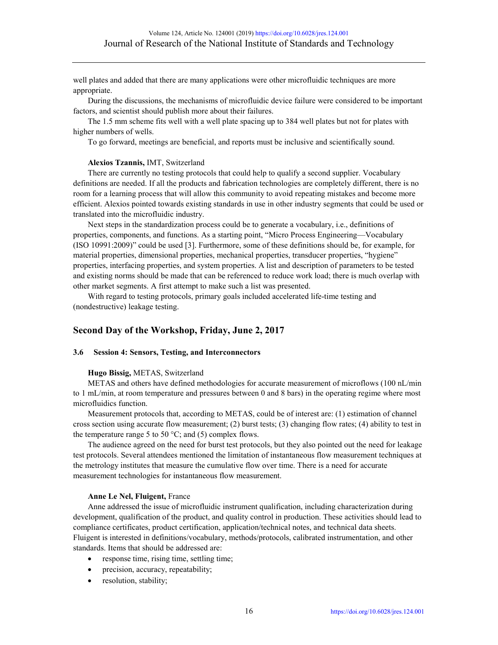well plates and added that there are many applications were other microfluidic techniques are more appropriate.

During the discussions, the mechanisms of microfluidic device failure were considered to be important factors, and scientist should publish more about their failures.

The 1.5 mm scheme fits well with a well plate spacing up to 384 well plates but not for plates with higher numbers of wells.

To go forward, meetings are beneficial, and reports must be inclusive and scientifically sound.

#### **Alexios Tzannis,** IMT, Switzerland

There are currently no testing protocols that could help to qualify a second supplier. Vocabulary definitions are needed. If all the products and fabrication technologies are completely different, there is no room for a learning process that will allow this community to avoid repeating mistakes and become more efficient. Alexios pointed towards existing standards in use in other industry segments that could be used or translated into the microfluidic industry.

Next steps in the standardization process could be to generate a vocabulary, i.e., definitions of properties, components, and functions. As a starting point, "Micro Process Engineering—Vocabulary (ISO 10991:2009)" could be used [3]. Furthermore, some of these definitions should be, for example, for material properties, dimensional properties, mechanical properties, transducer properties, "hygiene" properties, interfacing properties, and system properties. A list and description of parameters to be tested and existing norms should be made that can be referenced to reduce work load; there is much overlap with other market segments. A first attempt to make such a list was presented.

With regard to testing protocols, primary goals included accelerated life-time testing and (nondestructive) leakage testing.

## **Second Day of the Workshop, Friday, June 2, 2017**

#### **3.6 Session 4: Sensors, Testing, and Interconnectors**

#### **Hugo Bissig,** METAS, Switzerland

METAS and others have defined methodologies for accurate measurement of microflows (100 nL/min to 1 mL/min, at room temperature and pressures between 0 and 8 bars) in the operating regime where most microfluidics function.

Measurement protocols that, according to METAS, could be of interest are: (1) estimation of channel cross section using accurate flow measurement; (2) burst tests; (3) changing flow rates; (4) ability to test in the temperature range 5 to 50 °C; and (5) complex flows.

The audience agreed on the need for burst test protocols, but they also pointed out the need for leakage test protocols. Several attendees mentioned the limitation of instantaneous flow measurement techniques at the metrology institutes that measure the cumulative flow over time. There is a need for accurate measurement technologies for instantaneous flow measurement.

#### **Anne Le Nel, Fluigent,** France

Anne addressed the issue of microfluidic instrument qualification, including characterization during development, qualification of the product, and quality control in production. These activities should lead to compliance certificates, product certification, application/technical notes, and technical data sheets. Fluigent is interested in definitions/vocabulary, methods/protocols, calibrated instrumentation, and other standards. Items that should be addressed are:

- response time, rising time, settling time;
- precision, accuracy, repeatability;
- resolution, stability;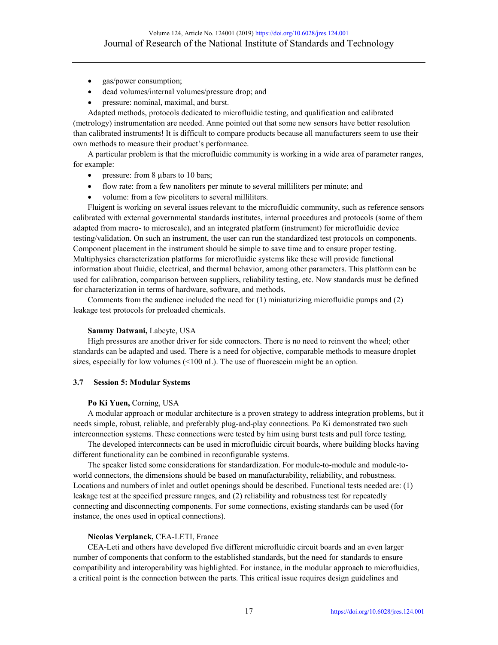- gas/power consumption;
- dead volumes/internal volumes/pressure drop; and
- pressure: nominal, maximal, and burst.

Adapted methods, protocols dedicated to microfluidic testing, and qualification and calibrated (metrology) instrumentation are needed. Anne pointed out that some new sensors have better resolution than calibrated instruments! It is difficult to compare products because all manufacturers seem to use their own methods to measure their product's performance.

A particular problem is that the microfluidic community is working in a wide area of parameter ranges, for example:

- pressure: from 8 µbars to 10 bars;
- flow rate: from a few nanoliters per minute to several milliliters per minute; and
- volume: from a few picoliters to several milliliters.

Fluigent is working on several issues relevant to the microfluidic community, such as reference sensors calibrated with external governmental standards institutes, internal procedures and protocols (some of them adapted from macro- to microscale), and an integrated platform (instrument) for microfluidic device testing/validation. On such an instrument, the user can run the standardized test protocols on components. Component placement in the instrument should be simple to save time and to ensure proper testing. Multiphysics characterization platforms for microfluidic systems like these will provide functional information about fluidic, electrical, and thermal behavior, among other parameters. This platform can be used for calibration, comparison between suppliers, reliability testing, etc. Now standards must be defined for characterization in terms of hardware, software, and methods.

Comments from the audience included the need for (1) miniaturizing microfluidic pumps and (2) leakage test protocols for preloaded chemicals.

#### **Sammy Datwani,** Labcyte, USA

High pressures are another driver for side connectors. There is no need to reinvent the wheel; other standards can be adapted and used. There is a need for objective, comparable methods to measure droplet sizes, especially for low volumes (<100 nL). The use of fluorescein might be an option.

#### **3.7 Session 5: Modular Systems**

#### **Po Ki Yuen,** Corning, USA

A modular approach or modular architecture is a proven strategy to address integration problems, but it needs simple, robust, reliable, and preferably plug-and-play connections. Po Ki demonstrated two such interconnection systems. These connections were tested by him using burst tests and pull force testing.

The developed interconnects can be used in microfluidic circuit boards, where building blocks having different functionality can be combined in reconfigurable systems.

The speaker listed some considerations for standardization. For module-to-module and module-toworld connectors, the dimensions should be based on manufacturability, reliability, and robustness. Locations and numbers of inlet and outlet openings should be described. Functional tests needed are: (1) leakage test at the specified pressure ranges, and (2) reliability and robustness test for repeatedly connecting and disconnecting components. For some connections, existing standards can be used (for instance, the ones used in optical connections).

#### **Nicolas Verplanck,** CEA-LETI, France

CEA-Leti and others have developed five different microfluidic circuit boards and an even larger number of components that conform to the established standards, but the need for standards to ensure compatibility and interoperability was highlighted. For instance, in the modular approach to microfluidics, a critical point is the connection between the parts. This critical issue requires design guidelines and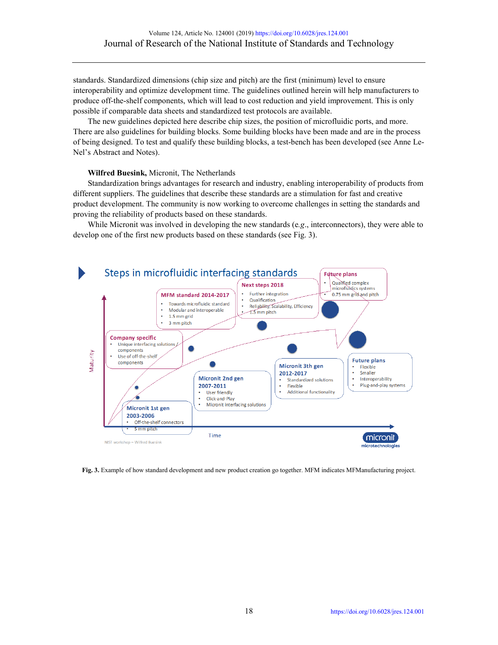standards. Standardized dimensions (chip size and pitch) are the first (minimum) level to ensure interoperability and optimize development time. The guidelines outlined herein will help manufacturers to produce off-the-shelf components, which will lead to cost reduction and yield improvement. This is only possible if comparable data sheets and standardized test protocols are available.

The new guidelines depicted here describe chip sizes, the position of microfluidic ports, and more. There are also guidelines for building blocks. Some building blocks have been made and are in the process of being designed. To test and qualify these building blocks, a test-bench has been developed (see Anne Le-Nel's Abstract and Notes).

#### **Wilfred Buesink,** Micronit, The Netherlands

Standardization brings advantages for research and industry, enabling interoperability of products from different suppliers. The guidelines that describe these standards are a stimulation for fast and creative product development. The community is now working to overcome challenges in setting the standards and proving the reliability of products based on these standards.

While Micronit was involved in developing the new standards (e*.g*., interconnectors), they were able to develop one of the first new products based on these standards (see Fig. 3).



**Fig. 3.** Example of how standard development and new product creation go together. MFM indicates MFManufacturing project.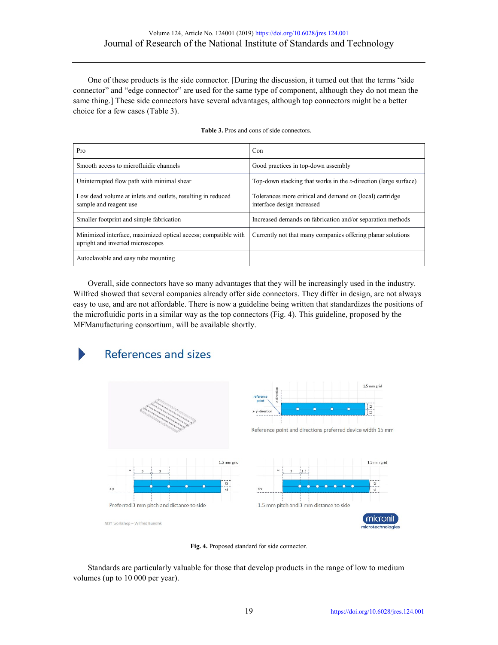One of these products is the side connector. [During the discussion, it turned out that the terms "side connector" and "edge connector" are used for the same type of component, although they do not mean the same thing.] These side connectors have several advantages, although top connectors might be a better choice for a few cases (Table 3).

| Pro                                                                                                | Con                                                                                    |  |
|----------------------------------------------------------------------------------------------------|----------------------------------------------------------------------------------------|--|
| Smooth access to microfluidic channels                                                             | Good practices in top-down assembly                                                    |  |
| Uninterrupted flow path with minimal shear                                                         | Top-down stacking that works in the z-direction (large surface)                        |  |
| Low dead volume at inlets and outlets, resulting in reduced<br>sample and reagent use              | Tolerances more critical and demand on (local) cartridge<br>interface design increased |  |
| Smaller footprint and simple fabrication                                                           | Increased demands on fabrication and/or separation methods                             |  |
| Minimized interface, maximized optical access; compatible with<br>upright and inverted microscopes | Currently not that many companies offering planar solutions                            |  |
| Autoclavable and easy tube mounting                                                                |                                                                                        |  |

**Table 3.** Pros and cons of side connectors.

Overall, side connectors have so many advantages that they will be increasingly used in the industry. Wilfred showed that several companies already offer side connectors. They differ in design, are not always easy to use, and are not affordable. There is now a guideline being written that standardizes the positions of the microfluidic ports in a similar way as the top connectors (Fig. 4). This guideline, proposed by the MFManufacturing consortium, will be available shortly.



**Fig. 4.** Proposed standard for side connector.

Standards are particularly valuable for those that develop products in the range of low to medium volumes (up to 10 000 per year).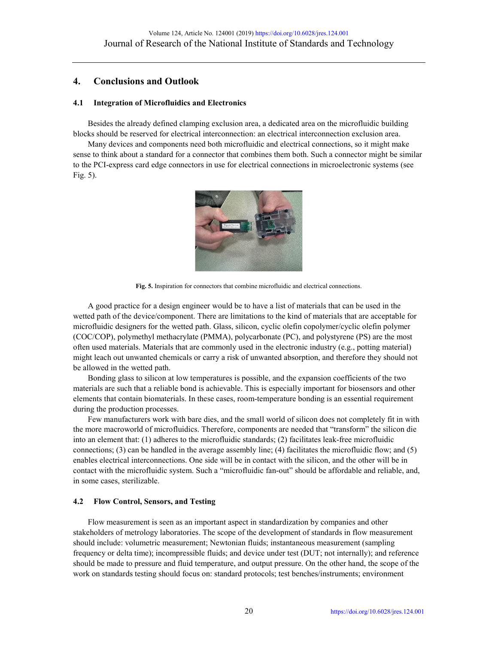# **4. Conclusions and Outlook**

## **4.1 Integration of Microfluidics and Electronics**

Besides the already defined clamping exclusion area, a dedicated area on the microfluidic building blocks should be reserved for electrical interconnection: an electrical interconnection exclusion area.

Many devices and components need both microfluidic and electrical connections, so it might make sense to think about a standard for a connector that combines them both. Such a connector might be similar to the PCI-express card edge connectors in use for electrical connections in microelectronic systems (see Fig. 5).



**Fig. 5.** Inspiration for connectors that combine microfluidic and electrical connections.

A good practice for a design engineer would be to have a list of materials that can be used in the wetted path of the device/component. There are limitations to the kind of materials that are acceptable for microfluidic designers for the wetted path. Glass, silicon, cyclic olefin copolymer/cyclic olefin polymer (COC/COP), polymethyl methacrylate (PMMA), polycarbonate (PC), and polystyrene (PS) are the most often used materials. Materials that are commonly used in the electronic industry (e.g., potting material) might leach out unwanted chemicals or carry a risk of unwanted absorption, and therefore they should not be allowed in the wetted path.

Bonding glass to silicon at low temperatures is possible, and the expansion coefficients of the two materials are such that a reliable bond is achievable. This is especially important for biosensors and other elements that contain biomaterials. In these cases, room-temperature bonding is an essential requirement during the production processes.

Few manufacturers work with bare dies, and the small world of silicon does not completely fit in with the more macroworld of microfluidics. Therefore, components are needed that "transform" the silicon die into an element that: (1) adheres to the microfluidic standards; (2) facilitates leak-free microfluidic connections; (3) can be handled in the average assembly line; (4) facilitates the microfluidic flow; and (5) enables electrical interconnections. One side will be in contact with the silicon, and the other will be in contact with the microfluidic system. Such a "microfluidic fan-out" should be affordable and reliable, and, in some cases, sterilizable.

## **4.2 Flow Control, Sensors, and Testing**

Flow measurement is seen as an important aspect in standardization by companies and other stakeholders of metrology laboratories. The scope of the development of standards in flow measurement should include: volumetric measurement; Newtonian fluids; instantaneous measurement (sampling frequency or delta time); incompressible fluids; and device under test (DUT; not internally); and reference should be made to pressure and fluid temperature, and output pressure. On the other hand, the scope of the work on standards testing should focus on: standard protocols; test benches/instruments; environment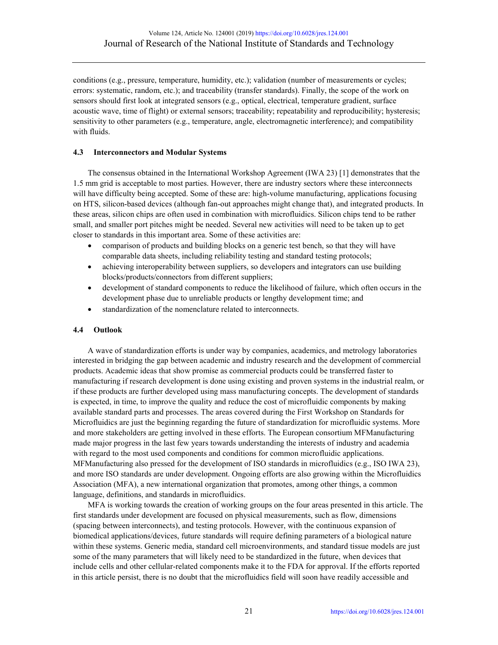conditions (e.g., pressure, temperature, humidity, etc.); validation (number of measurements or cycles; errors: systematic, random, etc.); and traceability (transfer standards). Finally, the scope of the work on sensors should first look at integrated sensors (e.g., optical, electrical, temperature gradient, surface acoustic wave, time of flight) or external sensors; traceability; repeatability and reproducibility; hysteresis; sensitivity to other parameters (e.g., temperature, angle, electromagnetic interference); and compatibility with fluids.

## **4.3 Interconnectors and Modular Systems**

The consensus obtained in the International Workshop Agreement (IWA 23) [1] demonstrates that the 1.5 mm grid is acceptable to most parties. However, there are industry sectors where these interconnects will have difficulty being accepted. Some of these are: high-volume manufacturing, applications focusing on HTS, silicon-based devices (although fan-out approaches might change that), and integrated products. In these areas, silicon chips are often used in combination with microfluidics. Silicon chips tend to be rather small, and smaller port pitches might be needed. Several new activities will need to be taken up to get closer to standards in this important area. Some of these activities are:

- comparison of products and building blocks on a generic test bench, so that they will have comparable data sheets, including reliability testing and standard testing protocols;
- achieving interoperability between suppliers, so developers and integrators can use building blocks/products/connectors from different suppliers;
- development of standard components to reduce the likelihood of failure, which often occurs in the development phase due to unreliable products or lengthy development time; and
- standardization of the nomenclature related to interconnects.

## **4.4 Outlook**

A wave of standardization efforts is under way by companies, academics, and metrology laboratories interested in bridging the gap between academic and industry research and the development of commercial products. Academic ideas that show promise as commercial products could be transferred faster to manufacturing if research development is done using existing and proven systems in the industrial realm, or if these products are further developed using mass manufacturing concepts. The development of standards is expected, in time, to improve the quality and reduce the cost of microfluidic components by making available standard parts and processes. The areas covered during the First Workshop on Standards for Microfluidics are just the beginning regarding the future of standardization for microfluidic systems. More and more stakeholders are getting involved in these efforts. The European consortium MFManufacturing made major progress in the last few years towards understanding the interests of industry and academia with regard to the most used components and conditions for common microfluidic applications. MFManufacturing also pressed for the development of ISO standards in microfluidics (e.g., ISO IWA 23), and more ISO standards are under development. Ongoing efforts are also growing within the Microfluidics Association (MFA), a new international organization that promotes, among other things, a common language, definitions, and standards in microfluidics.

MFA is working towards the creation of working groups on the four areas presented in this article. The first standards under development are focused on physical measurements, such as flow, dimensions (spacing between interconnects), and testing protocols. However, with the continuous expansion of biomedical applications/devices, future standards will require defining parameters of a biological nature within these systems. Generic media, standard cell microenvironments, and standard tissue models are just some of the many parameters that will likely need to be standardized in the future, when devices that include cells and other cellular-related components make it to the FDA for approval. If the efforts reported in this article persist, there is no doubt that the microfluidics field will soon have readily accessible and